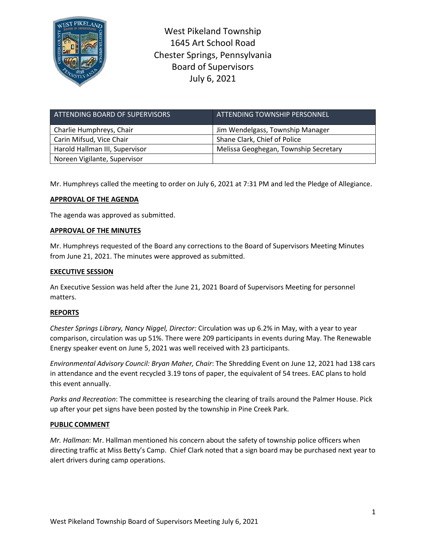

West Pikeland Township 1645 Art School Road Chester Springs, Pennsylvania Board of Supervisors July 6, 2021

| ATTENDING BOARD OF SUPERVISORS | <u>' ATTENDI</u> NG TOWNSHIP PERSONNEL, |
|--------------------------------|-----------------------------------------|
| Charlie Humphreys, Chair       | Jim Wendelgass, Township Manager        |
| Carin Mifsud, Vice Chair       | Shane Clark, Chief of Police            |
| Harold Hallman III, Supervisor | Melissa Geoghegan, Township Secretary   |
| Noreen Vigilante, Supervisor   |                                         |

Mr. Humphreys called the meeting to order on July 6, 2021 at 7:31 PM and led the Pledge of Allegiance.

# **APPROVAL OF THE AGENDA**

The agenda was approved as submitted.

### **APPROVAL OF THE MINUTES**

Mr. Humphreys requested of the Board any corrections to the Board of Supervisors Meeting Minutes from June 21, 2021. The minutes were approved as submitted.

## **EXECUTIVE SESSION**

An Executive Session was held after the June 21, 2021 Board of Supervisors Meeting for personnel matters.

### **REPORTS**

*Chester Springs Library, Nancy Niggel, Director:* Circulation was up 6.2% in May, with a year to year comparison, circulation was up 51%. There were 209 participants in events during May. The Renewable Energy speaker event on June 5, 2021 was well received with 23 participants.

*Environmental Advisory Council: Bryan Maher, Chair*: The Shredding Event on June 12, 2021 had 138 cars in attendance and the event recycled 3.19 tons of paper, the equivalent of 54 trees. EAC plans to hold this event annually.

*Parks and Recreation*: The committee is researching the clearing of trails around the Palmer House. Pick up after your pet signs have been posted by the township in Pine Creek Park.

### **PUBLIC COMMENT**

*Mr. Hallman*: Mr. Hallman mentioned his concern about the safety of township police officers when directing traffic at Miss Betty's Camp. Chief Clark noted that a sign board may be purchased next year to alert drivers during camp operations.